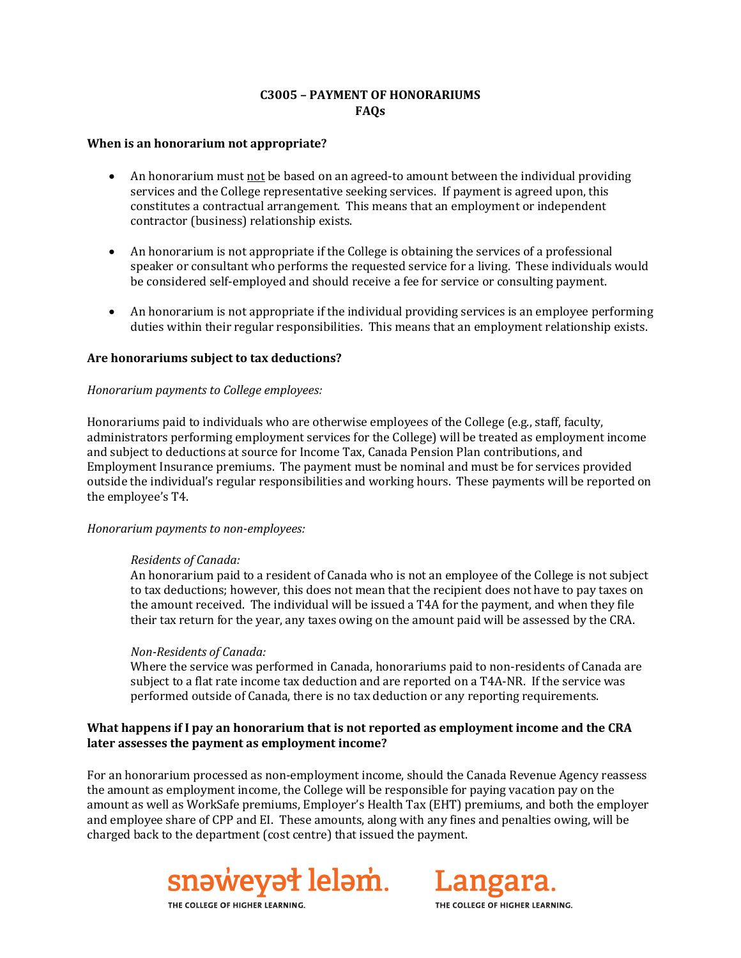# **C3005 – PAYMENT OF HONORARIUMS FAQs**

#### **When is an honorarium not appropriate?**

- An honorarium must not be based on an agreed-to amount between the individual providing services and the College representative seeking services. If payment is agreed upon, this constitutes a contractual arrangement. This means that an employment or independent contractor (business) relationship exists.
- An honorarium is not appropriate if the College is obtaining the services of a professional speaker or consultant who performs the requested service for a living. These individuals would be considered self-employed and should receive a fee for service or consulting payment.
- An honorarium is not appropriate if the individual providing services is an employee performing duties within their regular responsibilities. This means that an employment relationship exists.

### **Are honorariums subject to tax deductions?**

### *Honorarium payments to College employees:*

Honorariums paid to individuals who are otherwise employees of the College (e.g., staff, faculty, administrators performing employment services for the College) will be treated as employment income and subject to deductions at source for Income Tax, Canada Pension Plan contributions, and Employment Insurance premiums. The payment must be nominal and must be for services provided outside the individual's regular responsibilities and working hours. These payments will be reported on the employee's T4.

#### *Honorarium payments to non-employees:*

#### *Residents of Canada:*

An honorarium paid to a resident of Canada who is not an employee of the College is not subject to tax deductions; however, this does not mean that the recipient does not have to pay taxes on the amount received. The individual will be issued a T4A for the payment, and when they file their tax return for the year, any taxes owing on the amount paid will be assessed by the CRA.

## *Non-Residents of Canada:*

Where the service was performed in Canada, honorariums paid to non-residents of Canada are subject to a flat rate income tax deduction and are reported on a T4A-NR. If the service was performed outside of Canada, there is no tax deduction or any reporting requirements.

## **What happens if I pay an honorarium that is not reported as employment income and the CRA later assesses the payment as employment income?**

For an honorarium processed as non-employment income, should the Canada Revenue Agency reassess the amount as employment income, the College will be responsible for paying vacation pay on the amount as well as WorkSafe premiums, Employer's Health Tax (EHT) premiums, and both the employer and employee share of CPP and EI. These amounts, along with any fines and penalties owing, will be charged back to the department (cost centre) that issued the payment.





THE COLLEGE OF HIGHER LEARNING.